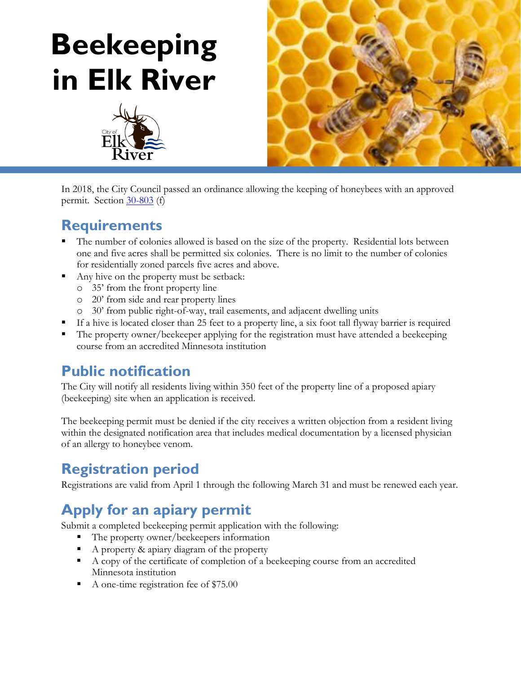# **Beekeeping in Elk River**





In 2018, the City Council passed an ordinance allowing the keeping of honeybees with an approved permit. Section [30-803](https://library.municode.com/mn/elk_river/codes/code_of_ordinances?nodeId=COOR_CH30LADERE_ARTVIZO_DIV5SURE_SDIINGE_S30-803AN) (f)

### **Requirements**

- The number of colonies allowed is based on the size of the property. Residential lots between one and five acres shall be permitted six colonies. There is no limit to the number of colonies for residentially zoned parcels five acres and above.
- Any hive on the property must be setback:
	- o 35' from the front property line
	- o 20' from side and rear property lines
	- o 30' from public right-of-way, trail easements, and adjacent dwelling units
- If a hive is located closer than 25 feet to a property line, a six foot tall flyway barrier is required
- The property owner/beekeeper applying for the registration must have attended a beekeeping course from an accredited Minnesota institution

## **Public notification**

The City will notify all residents living within 350 feet of the property line of a proposed apiary (beekeeping) site when an application is received.

The beekeeping permit must be denied if the city receives a written objection from a resident living within the designated notification area that includes medical documentation by a licensed physician of an allergy to honeybee venom.

## **Registration period**

Registrations are valid from April 1 through the following March 31 and must be renewed each year.

## **Apply for an apiary permit**

Submit a completed beekeeping permit application with the following:

- The property owner/beekeepers information
- A property & apiary diagram of the property
- A copy of the certificate of completion of a beekeeping course from an accredited Minnesota institution
- A one-time registration fee of \$75.00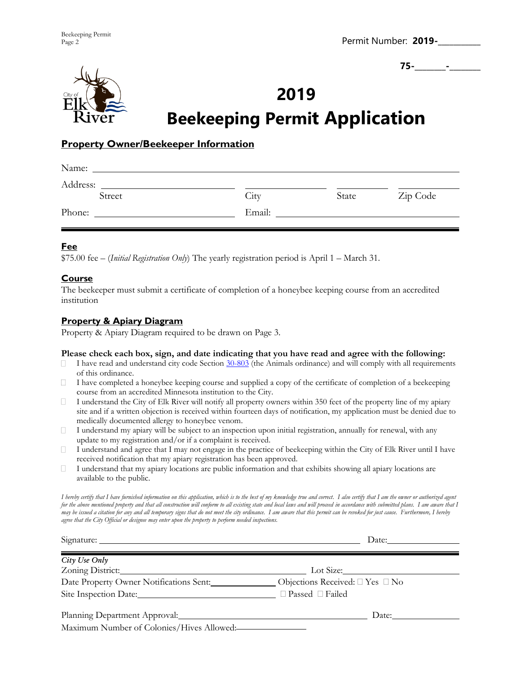Permit Number: **2019-\_\_\_\_\_\_\_\_\_\_\_**

**75-\_\_\_\_\_\_\_\_-\_\_\_\_\_\_\_\_**



## **2019 Beekeeping Permit Application**

#### **Property Owner/Beekeeper Information**

| Name:    |        |       |          |
|----------|--------|-------|----------|
| Address: |        |       |          |
| Street   | City   | State | Zip Code |
| Phone:   | Email: |       |          |
|          |        |       |          |

#### **Fee**

\$75.00 fee – (*Initial Registration Only*) The yearly registration period is April 1 – March 31.

#### **Course**

The beekeeper must submit a certificate of completion of a honeybee keeping course from an accredited institution

#### **Property & Apiary Diagram**

Property & Apiary Diagram required to be drawn on Page 3.

#### **Please check each box, sign, and date indicating that you have read and agree with the following:**

- $\Box$ I have read and understand city code Section [30-803](https://library.municode.com/mn/elk_river/codes/code_of_ordinances?nodeId=COOR_CH30LADERE_ARTVIZO_DIV5SURE_SDIINGE_S30-803AN) (the Animals ordinance) and will comply with all requirements of this ordinance.
- $\Box$ I have completed a honeybee keeping course and supplied a copy of the certificate of completion of a beekeeping course from an accredited Minnesota institution to the City.
- $\Box$ I understand the City of Elk River will notify all property owners within 350 feet of the property line of my apiary site and if a written objection is received within fourteen days of notification, my application must be denied due to medically documented allergy to honeybee venom.
- $\Box$ I understand my apiary will be subject to an inspection upon initial registration, annually for renewal, with any update to my registration and/or if a complaint is received.
- I understand and agree that I may not engage in the practice of beekeeping within the City of Elk River until I have П. received notification that my apiary registration has been approved.
- $\Box$ I understand that my apiary locations are public information and that exhibits showing all apiary locations are available to the public.

*I hereby certify that I have furnished information on this application, which is to the best of my knowledge true and correct. I also certify that I am the owner or authorized agent*  for the above mentioned property and that all construction will conform to all existing state and local laws and will proceed in accordance with submitted plans. I am aware that I *may be issued a citation for any and all temporary signs that do not meet the city ordinance. I am aware that this permit can be revoked for just cause. Furthermore, I hereby agree that the City Official or designee may enter upon the property to perform needed inspections.* 

|                                                                                                                                                                                                                                                                             | Date: $\_\_\_\_\_\_\_\_\_\_\_\_\_\_$      |
|-----------------------------------------------------------------------------------------------------------------------------------------------------------------------------------------------------------------------------------------------------------------------------|-------------------------------------------|
| City Use Only<br>Zoning District:                                                                                                                                                                                                                                           |                                           |
| Date Property Owner Notifications Sent:                                                                                                                                                                                                                                     | Objections Received: $\Box$ Yes $\Box$ No |
| Planning Department Approval: University of the Contract of the Contract of the Contract of the Contract of the Contract of the Contract of the Contract of the Contract of the Contract of the Contract of the Contract of th<br>Maximum Number of Colonies/Hives Allowed: | Date: $\_\_\_\_\_\_\_\_\_\_\_\_\_\_$      |